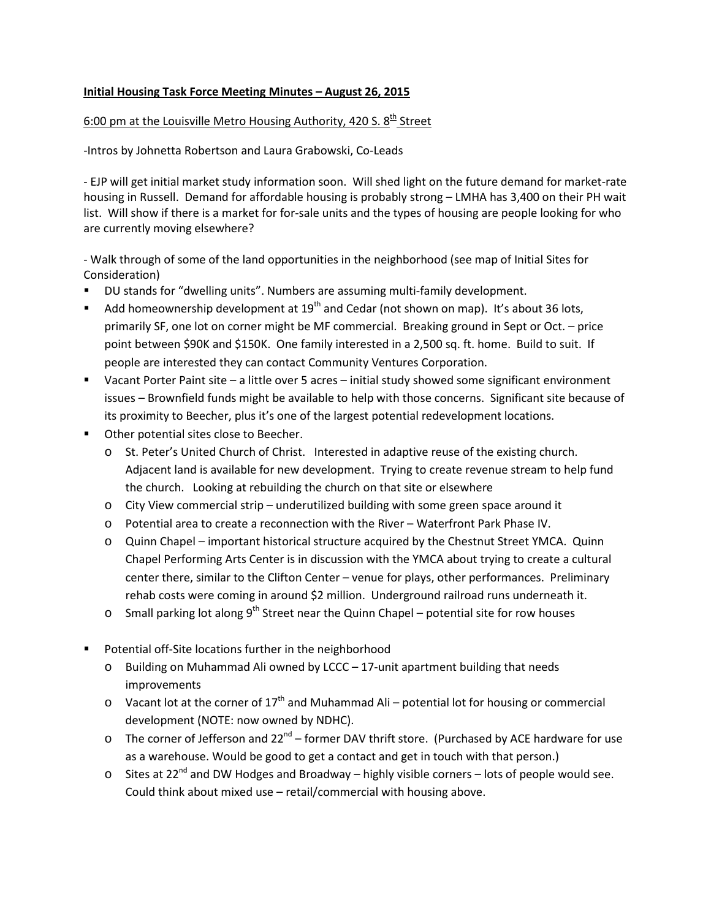## **Initial Housing Task Force Meeting Minutes – August 26, 2015**

## 6:00 pm at the Louisville Metro Housing Authority, 420 S.  $8<sup>th</sup>$  Street

-Intros by Johnetta Robertson and Laura Grabowski, Co-Leads

- EJP will get initial market study information soon. Will shed light on the future demand for market-rate housing in Russell. Demand for affordable housing is probably strong – LMHA has 3,400 on their PH wait list. Will show if there is a market for for-sale units and the types of housing are people looking for who are currently moving elsewhere?

- Walk through of some of the land opportunities in the neighborhood (see map of Initial Sites for Consideration)

- DU stands for "dwelling units". Numbers are assuming multi-family development.
- Add homeownership development at  $19<sup>th</sup>$  and Cedar (not shown on map). It's about 36 lots, primarily SF, one lot on corner might be MF commercial. Breaking ground in Sept or Oct. – price point between \$90K and \$150K. One family interested in a 2,500 sq. ft. home. Build to suit. If people are interested they can contact Community Ventures Corporation.
- Vacant Porter Paint site a little over 5 acres initial study showed some significant environment issues – Brownfield funds might be available to help with those concerns. Significant site because of its proximity to Beecher, plus it's one of the largest potential redevelopment locations.
- **•** Other potential sites close to Beecher.
	- o St. Peter's United Church of Christ. Interested in adaptive reuse of the existing church. Adjacent land is available for new development. Trying to create revenue stream to help fund the church. Looking at rebuilding the church on that site or elsewhere
	- $\circ$  City View commercial strip underutilized building with some green space around it
	- o Potential area to create a reconnection with the River Waterfront Park Phase IV.
	- o Quinn Chapel important historical structure acquired by the Chestnut Street YMCA. Quinn Chapel Performing Arts Center is in discussion with the YMCA about trying to create a cultural center there, similar to the Clifton Center – venue for plays, other performances. Preliminary rehab costs were coming in around \$2 million. Underground railroad runs underneath it.
	- $\circ$  Small parking lot along 9<sup>th</sup> Street near the Quinn Chapel potential site for row houses
- **P** Potential off-Site locations further in the neighborhood
	- o Building on Muhammad Ali owned by LCCC 17-unit apartment building that needs improvements
	- $\circ$  Vacant lot at the corner of 17<sup>th</sup> and Muhammad Ali potential lot for housing or commercial development (NOTE: now owned by NDHC).
	- $\circ$  The corner of Jefferson and 22<sup>nd</sup> former DAV thrift store. (Purchased by ACE hardware for use as a warehouse. Would be good to get a contact and get in touch with that person.)
	- $\circ$  Sites at 22<sup>nd</sup> and DW Hodges and Broadway highly visible corners lots of people would see. Could think about mixed use – retail/commercial with housing above.